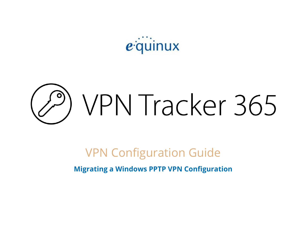equinux

# ) VPN Tracker 365

# VPN Configuration Guide

**Migrating a Windows PPTP VPN Configuration**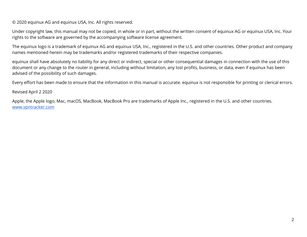© 2020 equinux AG and equinux USA, Inc. All rights reserved.

Under copyright law, this manual may not be copied, in whole or in part, without the written consent of equinux AG or equinux USA, Inc. Your rights to the software are governed by the accompanying software license agreement.

The equinux logo is a trademark of equinux AG and equinux USA, Inc., registered in the U.S. and other countries. Other product and company names mentioned herein may be trademarks and/or registered trademarks of their respective companies.

equinux shall have absolutely no liability for any direct or indirect, special or other consequential damages in connection with the use of this document or any change to the router in general, including without limitation, any lost profits, business, or data, even if equinux has been advised of the possibility of such damages.

Every effort has been made to ensure that the information in this manual is accurate. equinux is not responsible for printing or clerical errors.

Revised April 2 2020

Apple, the Apple logo, Mac, macOS, MacBook, MacBook Pro are trademarks of Apple Inc., registered in the U.S. and other countries. [www.vpntracker.com](https://www.vpntracker.com/)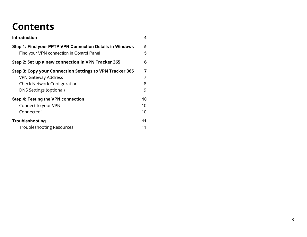# **Contents**

| <b>Introduction</b>                                                                                   | 4  |  |  |  |
|-------------------------------------------------------------------------------------------------------|----|--|--|--|
| Step 1: Find your PPTP VPN Connection Details in Windows<br>Find your VPN connection in Control Panel |    |  |  |  |
| Step 2: Set up a new connection in VPN Tracker 365                                                    | 6  |  |  |  |
| Step 3: Copy your Connection Settings to VPN Tracker 365                                              | 7  |  |  |  |
| <b>VPN Gateway Address</b>                                                                            | 7  |  |  |  |
| <b>Check Network Configuration</b>                                                                    | 8  |  |  |  |
| <b>DNS Settings (optional)</b>                                                                        | 9  |  |  |  |
| Step 4: Testing the VPN connection                                                                    | 10 |  |  |  |
| Connect to your VPN                                                                                   | 10 |  |  |  |
| Connected!                                                                                            | 10 |  |  |  |
| Troubleshooting                                                                                       | 11 |  |  |  |
| <b>Troubleshooting Resources</b>                                                                      | 11 |  |  |  |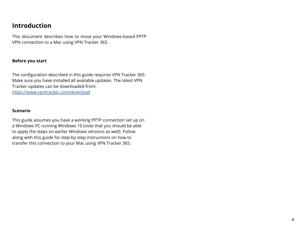### <span id="page-3-0"></span>**Introduction**

This document describes how to move your Windows-based PPTP VPN connection to a Mac using VPN Tracker 365.

#### **Before you start**

The configuration described in this guide requires VPN Tracker 365. Make sure you have installed all available updates. The latest VPN Tracker updates can be downloaded from: <https://www.vpntracker.com/download>

#### **Scenario**

This guide assumes you have a working PPTP connection set up on a Windows PC running Windows 10 (note that you should be able to apply the steps on earlier Windows versions as well). Follow along with this guide for step-by-step instructions on how to transfer this connection to your Mac using VPN Tracker 365.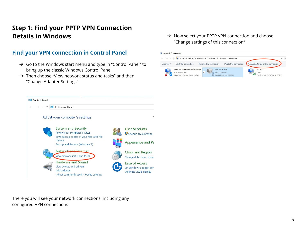# <span id="page-4-0"></span>**Step 1: Find your PPTP VPN Connection Details in Windows**

<span id="page-4-1"></span>

- ➔ Go to the Windows start menu and type in "Control Panel" to bring up the classic Windows Control Panel
- ➔ Then choose "View network status and tasks" and then "Change Adapter Settings"

→ Now select your PPTP VPN connection and choose "Change settings of this connection"





There you will see your network connections, including any configured VPN connections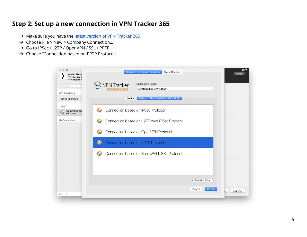## <span id="page-5-0"></span>**Step 2: Set up a new connection in VPN Tracker 365**

- → Make sure you have the latest version of VPN [Tracker](https://www.vpntracker.com/download) 365
- → Choose File > New > Company Connection...
- ➔ Go to IPSec / L2TP / OpenVPN / SSL / PPTP
- ➔ Choose "Connection based on PPTP Protocol"

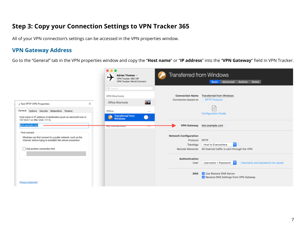### <span id="page-6-0"></span>**Step 3: Copy your Connection Settings to VPN Tracker 365**

All of your VPN connection's settings can be accessed in the VPN properties window.

#### <span id="page-6-1"></span>**VPN Gateway Address**

Go to the "General" tab in the VPN properties window and copy the "**Host name**" or "**IP address**" into the "**VPN Gateway**" field in VPN Tracker.

|                                                                                                                                                                  | $\bullet\bullet\bullet$<br>Adrian Thomas $\vee$<br>VPN Tracker 365 VIP<br>VPN Tracker World Connect                  | <b>Transferred from Windows</b><br>Basic Advanced<br><b>Notes</b><br>Actions                                                                                          |  |  |
|------------------------------------------------------------------------------------------------------------------------------------------------------------------|----------------------------------------------------------------------------------------------------------------------|-----------------------------------------------------------------------------------------------------------------------------------------------------------------------|--|--|
| $\times$<br><b>E</b> Test PPTP VPN Properties<br>General Options Security Networking Sharing<br>Host name or IP address of destination (such as microsoft.com or | Q Search<br><b>VPN Shortcuts</b><br>a.<br>Office Shortcuts<br>Office<br>$-0.01$<br>Transferred from<br>Windows<br>o. | <b>Connection Name Transferred from Windows</b><br>Connection based on → PPTP Protocol<br>iΞ<br><b>Configuration Guide</b>                                            |  |  |
| 157.54.0.1 or 3ffe:1234::1111):<br>est.example.com<br>First connect                                                                                              | <b>MA coupections</b>                                                                                                | <b>VPN Gateway</b><br>test.example.com                                                                                                                                |  |  |
| Windows can first connect to a public network, such as the<br>Internet, before trying to establish this virtual connection.<br>Dial another connection first:    |                                                                                                                      | <b>Network Configuration</b><br>PPTP<br>Protocol<br>$\circ$ $\circ$<br>Host to Everywhere<br>Topology<br>Remote Networks All Internet traffic is sent through the VPN |  |  |
|                                                                                                                                                                  |                                                                                                                      | Authentication<br>$\Theta$ $\Theta$ Username and password not saved<br>Username + Password<br>User                                                                    |  |  |
| Privacy statement                                                                                                                                                |                                                                                                                      | Use Remote DNS Server<br><b>DNS</b><br>Receive DNS Settings from VPN Gateway                                                                                          |  |  |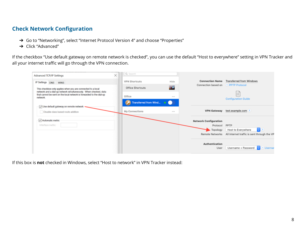#### <span id="page-7-0"></span>**Check Network Configuration**

- → Go to "Networking", select "Internet Protocol Version 4" and choose "Properties"
- ➔ Click "Advanced"

If the checkbox "Use default gateway on remote network is checked", you can use the default "Host to everywhere" setting in VPN Tracker and all your internet traffic will go through the VPN connection.



If this box is **not** checked in Windows, select "Host to network" in VPN Tracker instead: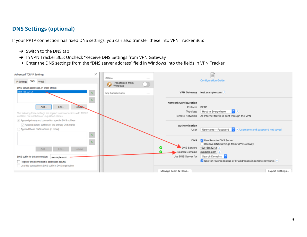#### <span id="page-8-0"></span>**DNS Settings (optional)**

If your PPTP connection has fixed DNS settings, you can also transfer these into VPN Tracker 365:

- $\rightarrow$  Switch to the DNS tab
- → In VPN Tracker 365: Uncheck "Receive DNS Settings from VPN Gateway"
- → Enter the DNS settings from the "DNS server address" field in Windows into the fields in VPN Tracker

| Advanced TCP/IP Settings                                                | × |                            |       |   |                              | iΞ                                                                                                                                 |
|-------------------------------------------------------------------------|---|----------------------------|-------|---|------------------------------|------------------------------------------------------------------------------------------------------------------------------------|
| IP Settings DNS WINS                                                    |   | Office<br>Transferred from | 1.111 |   |                              | <b>Configuration Guide</b>                                                                                                         |
| DNS server addresses, in order of use:                                  |   | Windows                    |       |   |                              |                                                                                                                                    |
| 192.168.22.12                                                           |   | My Connections             |       |   |                              | VPN Gateway test.example.com ?                                                                                                     |
|                                                                         |   |                            |       |   | <b>Network Configuration</b> |                                                                                                                                    |
| Edit.<br><b>Remove.</b><br>Add                                          |   |                            |       |   | Protocol                     | PPTP                                                                                                                               |
| The following three settings are applied to all connections with TCP/IP |   |                            |       |   | Topology                     | Host to Everywhere                                                                                                                 |
| enabled. For resolution of unqualified names:                           |   |                            |       |   |                              | Remote Networks All Internet traffic is sent through the VPN                                                                       |
| Append primary and connection specific DNS suffixes                     |   |                            |       |   |                              |                                                                                                                                    |
| Append parent suffixes of the primary DNS suffix                        |   |                            |       |   | Authentication               |                                                                                                                                    |
| Append these DNS suffixes (in order):                                   |   |                            |       |   | User                         | Username + Password $\begin{array}{ c c c c c }\hline \color{red}\bullet & \color{red}\end{array}$ Username and password not saved |
|                                                                         |   |                            |       |   |                              |                                                                                                                                    |
|                                                                         |   |                            |       |   | <b>DNS</b>                   | Use Remote DNS Server<br>Receive DNS Settings from VPN Gateway                                                                     |
| Remove                                                                  |   |                            |       | o | DNS Servers                  | 192.168.22.12 ?                                                                                                                    |
| Add<br>Edit.                                                            |   |                            |       | o | Search Domains               | example.com ?                                                                                                                      |
| DNS suffix for this connection:<br>example.com                          |   |                            |       |   | Use DNS Server for           | Search Domains                                                                                                                     |
| Register this connection's addresses in DNS                             |   |                            |       |   |                              | √ Use for reverse lookup of IP addresses in remote networks ?                                                                      |
| Use this connection's DNS suffix in DNS registration                    |   |                            |       |   |                              |                                                                                                                                    |
|                                                                         |   |                            |       |   | Manage Team & Plans          | Export Settings                                                                                                                    |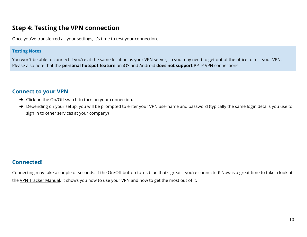#### <span id="page-9-0"></span>**Step 4: Testing the VPN connection**

Once you've transferred all your settings, it's time to test your connection.

#### **Testing Notes**

You won't be able to connect if you're at the same location as your VPN server, so you may need to get out of the office to test your VPN. Please also note that the **personal hotspot feature** on iOS and Android **does not support** PPTP VPN connections.

#### <span id="page-9-1"></span>**Connect to your VPN**

- → Click on the On/Off switch to turn on your connection.
- → Depending on your setup, you will be prompted to enter your VPN username and password (typically the same login details you use to sign in to other services at your company)

#### <span id="page-9-2"></span>**Connected!**

Connecting may take a couple of seconds. If the On/Off button turns blue that's great – you're connected! Now is a great time to take a look at the VPN Tracker [Manual](https://www.vpntracker.com/support?tab=manual). It shows you how to use your VPN and how to get the most out of it.